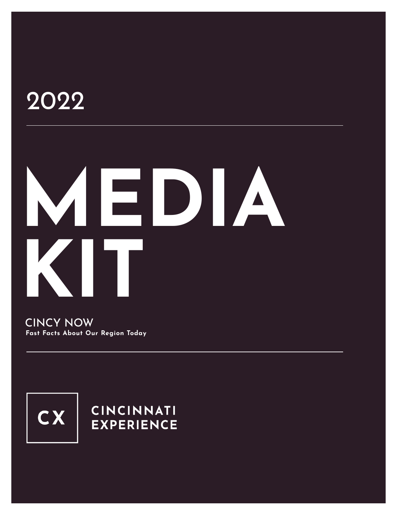# 2022

# **MEDIA KIT**

CINCY NOW **Fast Facts About Our Region Today**



## **CINCINNATI EXPERIENCE**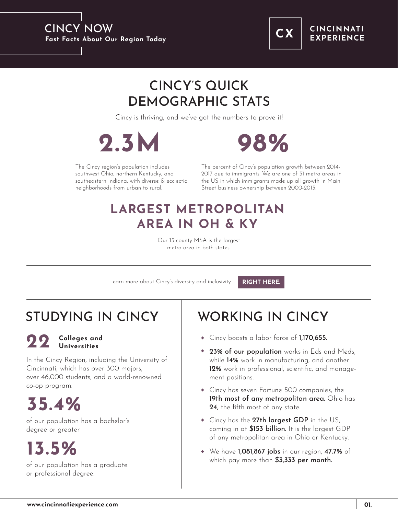

### **CINCINNATI EXPERIENCE**

# CINCY'S QUICK DEMOGRAPHIC STATS

Cincy is thriving, and we've got the numbers to prove it!





The Cincy region's population includes southwest Ohio, northern Kentucky, and southeastern Indiana, with diverse & ecclectic neighborhoods from urban to rural.

The percent of Cincy's population growth between 2014- 2017 due to immigrants. We are one of 31 metro areas in the US in which immigrants made up all growth in Main Street business ownership between 2000-2013.

## **LARGEST METROPOLITAN AREA IN OH & KY**

Our 15-county MSA is the largest metro area in both states.

Learn more about Cincy's diversity and inclusivity

**[RIGHT HERE.](https://www.cincinnatiexperience.com/topics/diversity-inclusion/)**

# STUDYING IN CINCY | WORKING IN CINCY

### **22 Colleges and Universities**

In the Cincy Region, including the University of Cincinnati, which has over 300 majors, over 46,000 students, and a world-renowned co-op program.

# **35.4%**

of our population has a bachelor's degree or greater

# **13.5%**

of our population has a graduate or professional degree.

- Cincy boasts a labor force of 1,170,655.
- 23% of our population works in Eds and Meds, while 14% work in manufacturing, and another 12% work in professional, scientific, and management positions.
- Cincy has seven Fortune 500 companies, the 19th most of any metropolitan area. Ohio has 24, the fifth most of any state.
- Cincy has the 27th largest GDP in the US, coming in at  $$153$  billion. It is the largest GDP of any metropolitan area in Ohio or Kentucky.
- We have 1,081,867 jobs in our region, 47.7% of which pay more than  $$3,333$  per month.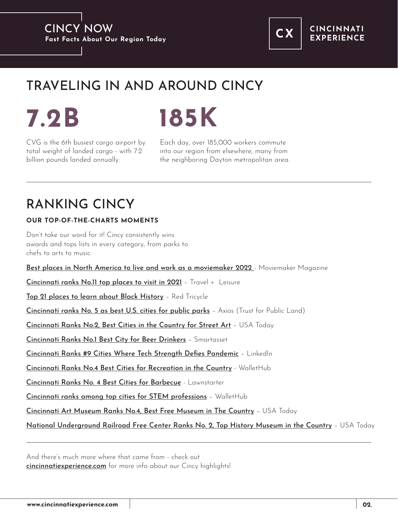

**CINCINNATI EXPERIENCE** 

# TRAVELING IN AND AROUND CINCY



CVG is the 6th busiest cargo airport by total weight of landed cargo - with 7.2 billion pounds landed annually.

Each day, over 185,000 workers commute into our region from elsewhere, many from the neighboring Dayton metropolitan area.

# RANKING CINCY

## **OUR TOP-OF-THE-CHARTS MOMENTS**

Don't take our word for it! Cincy consistently wins awards and tops lists in every category, from parks to chefs to arts to music.

[Best places in North America to live and work as a moviemaker 2022](https://www.moviemaker.com/best-places-to-live-and-work-as-a-moviemaker-in-2022/) - Moviemaker Magazine

[Cincinnati ranks No.11 top places to visit in 2021](https://www.travelandleisure.com/trip-ideas/best-places-to-travel-in-2021?fbclid=IwAR0pMguJBb6w3W9tODgzJSdJlzOjryhilntVQy-q_Ml52fkxna6-MCCZZyY) – Travel + Leisure

[Top 21 places to learn about Black History](https://redtri.com/places-to-learn-about-black-history-with-kids/slide/1) - Red Tricycle

[Cincinnati ranks No. 5 as best U.S. cities for public parks](https://www.axios.com/parks-best-and-worst-cities-717cb9a3-b3c4-471c-a634-a5c1e1309a9b.html) - Axios (Trust for Public Land)

[Cincinnati Ranks No.2, Best Cities in the Country for Street Art](https://www.10best.com/awards/travel/best-city-for-street-art/) – USA Today

[Cincinnati Ranks No.1 Best City for Beer Drinkers](https://smartasset.com/checking-account/best-cities-for-beer-drinkers-2020) – Smartasset

[Cincinnati Ranks #9 Cities Where Tech Strength Defies Pandemic](https://www.linkedin.com/pulse/programmed-win-10-cities-where-tech-strength-defied-pandemic-anders/?published=t) – LinkedIn

[Cincinnati Ranks No.4 Best Cities for Recreation in the Country](https://wallethub.com/edu/best-worst-cities-for-recreation/5144) - WalletHub

[Cincinnati Ranks No. 4 Best Cities for Barbecue](https://www.lawnstarter.com/blog/studies/best-bbq-cities/) - Lawnstarter

[Cincinnati ranks among top cities for STEM professions](https://www.bizjournals.com/cincinnati/news/2020/01/24/cincinnati-ranksamong-top-cities-for-stem.html) – WalletHub

[Cincinnati Art Museum Ranks No.4, Best Free Museum in The Country](https://www.10best.com/awards/travel/best-free-museum/) – USA Today

[National Underground Railroad Free Center Ranks No. 2, Top History Museum in the Country](https://www.10best.com/awards/travel/best-history-museum-2021/) – USA Today

And there's much more where that came from - check out [cincinnatiexperience.com](https://www.cincinnatiexperience.com/) for more info about our Cincy highlights!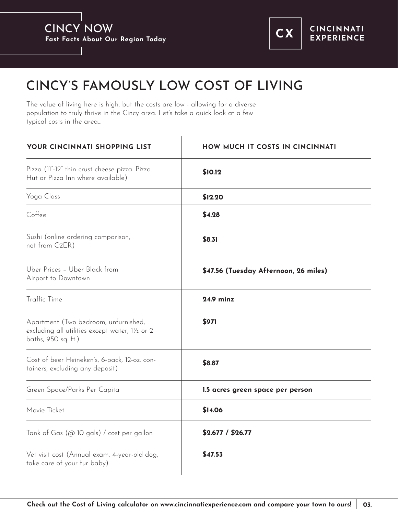

# CINCY'S FAMOUSLY LOW COST OF LIVING

The value of living here is high, but the costs are low - allowing for a diverse population to truly thrive in the Cincy area. Let's take a quick look at a few typical costs in the area…

| YOUR CINCINNATI SHOPPING LIST                                                                                  | HOW MUCH IT COSTS IN CINCINNATI       |
|----------------------------------------------------------------------------------------------------------------|---------------------------------------|
| Pizza (11"-12" thin crust cheese pizza. Pizza<br>Hut or Pizza Inn where available)                             | \$10.12                               |
| Yoga Class                                                                                                     | \$12.20                               |
| Coffee                                                                                                         | \$4.28                                |
| Sushi (online ordering comparison,<br>not from C2ER)                                                           | \$8.31                                |
| Uber Prices - Uber Black from<br>Airport to Downtown                                                           | \$47.56 (Tuesday Afternoon, 26 miles) |
| Traffic Time                                                                                                   | <b>24.9 minz</b>                      |
| Apartment (Two bedroom, unfurnished,<br>excluding all utilities except water, 11/2 or 2<br>baths, 950 sq. ft.) | \$971                                 |
| Cost of beer Heineken's, 6-pack, 12-oz. con-<br>tainers, excluding any deposit)                                | \$8.87                                |
| Green Space/Parks Per Capita                                                                                   | 1.5 acres green space per person      |
| Movie Ticket                                                                                                   | \$14.06                               |
| Tank of Gas (@ 10 gals) / cost per gallon                                                                      | \$2.677 / \$26.77                     |
| Vet visit cost (Annual exam, 4-year-old dog,<br>take care of your fur baby)                                    | \$47.53                               |